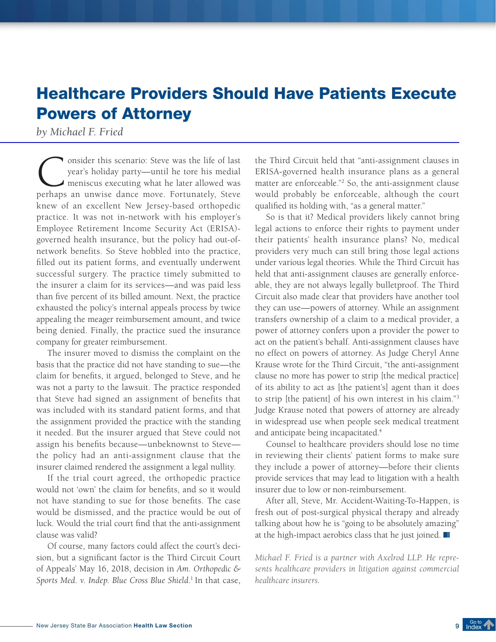## Healthcare Providers Should Have Patients Execute Powers of Attorney

*by Michael F. Fried*

Consider this scenario: Steve was the life of last<br>year's holiday party—until he tore his medial<br>meniscus executing what he later allowed was<br>perhaps an unwise dance move Fortunately Steve year's holiday party—until he tore his medial meniscus executing what he later allowed was perhaps an unwise dance move. Fortunately, Steve knew of an excellent New Jersey-based orthopedic practice. It was not in-network with his employer's Employee Retirement Income Security Act (ERISA) governed health insurance, but the policy had out-ofnetwork benefits. So Steve hobbled into the practice, filled out its patient forms, and eventually underwent successful surgery. The practice timely submitted to the insurer a claim for its services—and was paid less than five percent of its billed amount. Next, the practice exhausted the policy's internal appeals process by twice appealing the meager reimbursement amount, and twice being denied. Finally, the practice sued the insurance company for greater reimbursement.

The insurer moved to dismiss the complaint on the basis that the practice did not have standing to sue—the claim for benefits, it argued, belonged to Steve, and he was not a party to the lawsuit. The practice responded that Steve had signed an assignment of benefits that was included with its standard patient forms, and that the assignment provided the practice with the standing it needed. But the insurer argued that Steve could not assign his benefits because—unbeknownst to Steve the policy had an anti-assignment clause that the insurer claimed rendered the assignment a legal nullity.

If the trial court agreed, the orthopedic practice would not 'own' the claim for benefits, and so it would not have standing to sue for those benefits. The case would be dismissed, and the practice would be out of luck. Would the trial court find that the anti-assignment clause was valid?

Of course, many factors could affect the court's decision, but a significant factor is the Third Circuit Court of Appeals' May 16, 2018, decision in *Am. Orthopedic & Sports Med. v. Indep. Blue Cross Blue Shield*. 1 In that case, the Third Circuit held that "anti-assignment clauses in ERISA-governed health insurance plans as a general matter are enforceable."2 So, the anti-assignment clause would probably be enforceable, although the court qualified its holding with, "as a general matter."

So is that it? Medical providers likely cannot bring legal actions to enforce their rights to payment under their patients' health insurance plans? No, medical providers very much can still bring those legal actions under various legal theories. While the Third Circuit has held that anti-assignment clauses are generally enforceable, they are not always legally bulletproof. The Third Circuit also made clear that providers have another tool they can use—powers of attorney. While an assignment transfers ownership of a claim to a medical provider, a power of attorney confers upon a provider the power to act on the patient's behalf. Anti-assignment clauses have no effect on powers of attorney. As Judge Cheryl Anne Krause wrote for the Third Circuit, "the anti-assignment clause no more has power to strip [the medical practice] of its ability to act as [the patient's] agent than it does to strip [the patient] of his own interest in his claim."3 Judge Krause noted that powers of attorney are already in widespread use when people seek medical treatment and anticipate being incapacitated.<sup>4</sup>

Counsel to healthcare providers should lose no time in reviewing their clients' patient forms to make sure they include a power of attorney—before their clients provide services that may lead to litigation with a health insurer due to low or non-reimbursement.

After all, Steve, Mr. Accident-Waiting-To-Happen, is fresh out of post-surgical physical therapy and already talking about how he is "going to be absolutely amazing" at the high-impact aerobics class that he just joined.

*Michael F. Fried is a partner with Axelrod LLP. He represents healthcare providers in litigation against commercial healthcare insurers.*